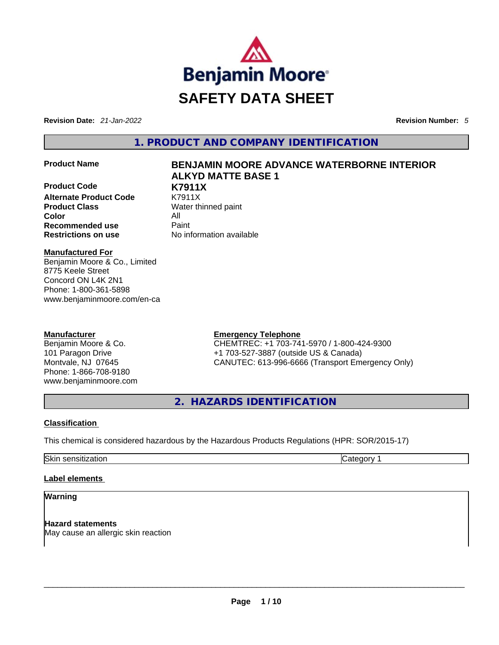

**Revision Date:** *21-Jan-2022* **Revision Number:** *5*

**1. PRODUCT AND COMPANY IDENTIFICATION** 

**Product Code K7911X Alternate Product Code Product Class Water thinned paint Color** All **Recommended use <b>Paint Restrictions on use** No information available

# **Product Name BENJAMIN MOORE ADVANCE WATERBORNE INTERIOR ALKYD MATTE BASE 1**

**Manufactured For** Benjamin Moore & Co., Limited 8775 Keele Street Concord ON L4K 2N1 Phone: 1-800-361-5898 www.benjaminmoore.com/en-ca

## **Manufacturer**

Benjamin Moore & Co. 101 Paragon Drive Montvale, NJ 07645 Phone: 1-866-708-9180 www.benjaminmoore.com

# **Emergency Telephone**

CHEMTREC: +1 703-741-5970 / 1-800-424-9300 +1 703-527-3887 (outside US & Canada) CANUTEC: 613-996-6666 (Transport Emergency Only)

**2. HAZARDS IDENTIFICATION** 

# **Classification**

This chemical is considered hazardous by the Hazardous Products Regulations (HPR: SOR/2015-17)

Skin sensitization **Category 1 Category 1** 

## **Label elements**

# **Warning**

**Hazard statements** May cause an allergic skin reaction \_\_\_\_\_\_\_\_\_\_\_\_\_\_\_\_\_\_\_\_\_\_\_\_\_\_\_\_\_\_\_\_\_\_\_\_\_\_\_\_\_\_\_\_\_\_\_\_\_\_\_\_\_\_\_\_\_\_\_\_\_\_\_\_\_\_\_\_\_\_\_\_\_\_\_\_\_\_\_\_\_\_\_\_\_\_\_\_\_\_\_\_\_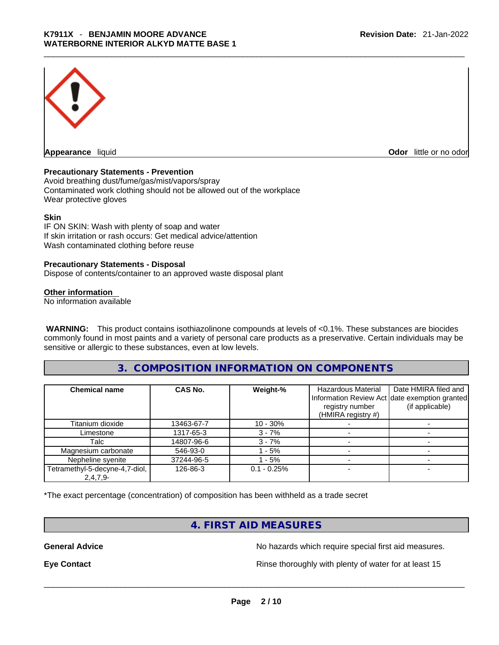

**Appearance** liquid **Odor 11** and **Odor 11** and **Odor 11** and **Odor 11** and **Odor 11** and **Odor** 11 and **Odor** 11 and **Odor** 11 and **Odor** 11 and **Odor** 11 and **Odor** 11 and **Odor** 11 and **Odor** 11 and **Odor** 11 and **Odor** 

#### **Precautionary Statements - Prevention**

Avoid breathing dust/fume/gas/mist/vapors/spray Contaminated work clothing should not be allowed out of the workplace Wear protective gloves

#### **Skin**

IF ON SKIN: Wash with plenty of soap and water If skin irritation or rash occurs: Get medical advice/attention Wash contaminated clothing before reuse

#### **Precautionary Statements - Disposal**

Dispose of contents/container to an approved waste disposal plant

#### **Other information**

No information available

**WARNING:** This product contains isothiazolinone compounds at levels of <0.1%. These substances are biocides commonly found in most paints and a variety of personal care products as a preservative. Certain individuals may be sensitive or allergic to these substances, even at low levels.

## **3. COMPOSITION INFORMATION ON COMPONENTS**

| <b>Chemical name</b>           | CAS No.    | Weight-%      | <b>Hazardous Material</b><br>registry number<br>(HMIRA registry #) | Date HMIRA filed and<br>Information Review Act date exemption granted<br>(if applicable) |
|--------------------------------|------------|---------------|--------------------------------------------------------------------|------------------------------------------------------------------------------------------|
| Titanium dioxide               | 13463-67-7 | 10 - 30%      |                                                                    |                                                                                          |
| Limestone                      | 1317-65-3  | $3 - 7%$      |                                                                    |                                                                                          |
| Talc                           | 14807-96-6 | $3 - 7%$      |                                                                    |                                                                                          |
| Magnesium carbonate            | 546-93-0   | - 5%          |                                                                    |                                                                                          |
| Nepheline syenite              | 37244-96-5 | - 5%          |                                                                    |                                                                                          |
| Tetramethyl-5-decyne-4,7-diol, | 126-86-3   | $0.1 - 0.25%$ |                                                                    |                                                                                          |
| $2,4,7,9-$                     |            |               |                                                                    |                                                                                          |

\*The exact percentage (concentration) of composition has been withheld as a trade secret

# **4. FIRST AID MEASURES**

**General Advice No hazards which require special first aid measures.** No hazards which require special first aid measures.

**Eye Contact <b>Rinse** thoroughly with plenty of water for at least 15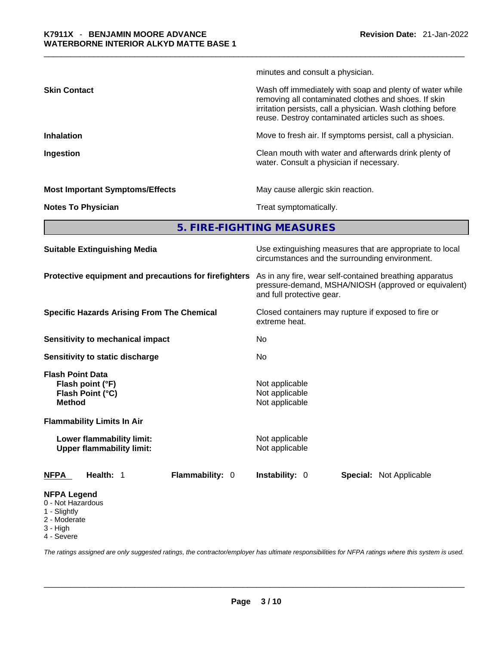|                     | minutes and consult a physician.                                                                                                                                                                                                       |
|---------------------|----------------------------------------------------------------------------------------------------------------------------------------------------------------------------------------------------------------------------------------|
| <b>Skin Contact</b> | Wash off immediately with soap and plenty of water while<br>removing all contaminated clothes and shoes. If skin<br>irritation persists, call a physician. Wash clothing before<br>reuse. Destroy contaminated articles such as shoes. |
| <b>Inhalation</b>   | Move to fresh air. If symptoms persist, call a physician.                                                                                                                                                                              |
| Ingestion           | Clean mouth with water and afterwards drink plenty of                                                                                                                                                                                  |

## **Most Important Symptoms/Effects** May cause allergic skin reaction.

water. Consult a physician if necessary.

**Notes To Physician Treat symptomatically.** 

**5. FIRE-FIGHTING MEASURES** 

| <b>Suitable Extinguishing Media</b>                                                                                   | Use extinguishing measures that are appropriate to local<br>circumstances and the surrounding environment.<br>As in any fire, wear self-contained breathing apparatus<br>pressure-demand, MSHA/NIOSH (approved or equivalent)<br>and full protective gear.<br>Closed containers may rupture if exposed to fire or<br>extreme heat.<br>No<br>No. |  |  |
|-----------------------------------------------------------------------------------------------------------------------|-------------------------------------------------------------------------------------------------------------------------------------------------------------------------------------------------------------------------------------------------------------------------------------------------------------------------------------------------|--|--|
| Protective equipment and precautions for firefighters                                                                 |                                                                                                                                                                                                                                                                                                                                                 |  |  |
| <b>Specific Hazards Arising From The Chemical</b>                                                                     |                                                                                                                                                                                                                                                                                                                                                 |  |  |
| Sensitivity to mechanical impact                                                                                      |                                                                                                                                                                                                                                                                                                                                                 |  |  |
| Sensitivity to static discharge                                                                                       |                                                                                                                                                                                                                                                                                                                                                 |  |  |
| <b>Flash Point Data</b><br>Flash point (°F)<br>Flash Point (°C)<br><b>Method</b><br><b>Flammability Limits In Air</b> | Not applicable<br>Not applicable<br>Not applicable                                                                                                                                                                                                                                                                                              |  |  |
| Lower flammability limit:<br><b>Upper flammability limit:</b>                                                         | Not applicable<br>Not applicable                                                                                                                                                                                                                                                                                                                |  |  |
| Flammability: 0<br><b>NFPA</b><br>Health: 1                                                                           | <b>Instability: 0</b><br><b>Special: Not Applicable</b>                                                                                                                                                                                                                                                                                         |  |  |
| <b>NFPA Legend</b><br>0 - Not Hazardous<br>1 - Slightly<br>2 - Moderate<br>3 - High                                   |                                                                                                                                                                                                                                                                                                                                                 |  |  |

4 - Severe

*The ratings assigned are only suggested ratings, the contractor/employer has ultimate responsibilities for NFPA ratings where this system is used.*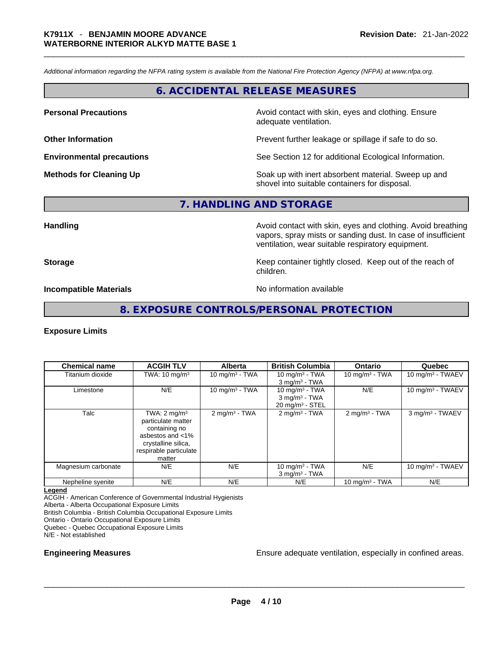*Additional information regarding the NFPA rating system is available from the National Fire Protection Agency (NFPA) at www.nfpa.org.* 

# **6. ACCIDENTAL RELEASE MEASURES**

**Personal Precautions Avoid contact with skin, eyes and clothing. Ensure Personal Precautions** adequate ventilation.

**Other Information Determined Information Prevent further leakage or spillage if safe to do so.** 

**Environmental precautions** See Section 12 for additional Ecological Information.

**Methods for Cleaning Up Soak** up with inert absorbent material. Sweep up and shovel into suitable containers for disposal.

**7. HANDLING AND STORAGE** 

**Handling Handling Avoid contact with skin, eyes and clothing. Avoid breathing** vapors, spray mists or sanding dust. In case of insufficient ventilation, wear suitable respiratory equipment.

**Storage Example 20 Keep container tightly closed. Keep out of the reach of Keep** out of the reach of children.

**Incompatible Materials No information available** 

## **8. EXPOSURE CONTROLS/PERSONAL PROTECTION**

#### **Exposure Limits**

| <b>Chemical name</b> | <b>ACGIH TLV</b>                                                                                                                              | <b>Alberta</b>              | <b>British Columbia</b>                                                       | <b>Ontario</b>              | Quebec                       |
|----------------------|-----------------------------------------------------------------------------------------------------------------------------------------------|-----------------------------|-------------------------------------------------------------------------------|-----------------------------|------------------------------|
| Titanium dioxide     | TWA: $10 \text{ mg/m}^3$                                                                                                                      | $10 \text{ mg/m}^3$ - TWA   | 10 mg/m $3$ - TWA<br>$3$ mg/m <sup>3</sup> - TWA                              | 10 mg/m $3$ - TWA           | 10 mg/m <sup>3</sup> - TWAEV |
| Limestone            | N/E                                                                                                                                           | 10 mg/m $3$ - TWA           | 10 $mq/m3$ - TWA<br>$3$ mg/m <sup>3</sup> - TWA<br>$20 \text{ mg/m}^3$ - STEL | N/E                         | 10 mg/m <sup>3</sup> - TWAEV |
| Talc                 | TWA: $2 \text{ mg/m}^3$<br>particulate matter<br>containing no<br>asbestos and <1%<br>crystalline silica,<br>respirable particulate<br>matter | $2$ mg/m <sup>3</sup> - TWA | $2$ mg/m <sup>3</sup> - TWA                                                   | $2$ mg/m <sup>3</sup> - TWA | 3 mg/m <sup>3</sup> - TWAEV  |
| Magnesium carbonate  | N/E                                                                                                                                           | N/E                         | 10 mg/m $3$ - TWA<br>$3$ mg/m <sup>3</sup> - TWA                              | N/E                         | 10 mg/m $3$ - TWAEV          |
| Nepheline syenite    | N/E                                                                                                                                           | N/E                         | N/E                                                                           | 10 mg/m $3$ - TWA           | N/E                          |

**Legend**

ACGIH - American Conference of Governmental Industrial Hygienists

Alberta - Alberta Occupational Exposure Limits

British Columbia - British Columbia Occupational Exposure Limits

Ontario - Ontario Occupational Exposure Limits

Quebec - Quebec Occupational Exposure Limits

N/E - Not established

**Engineering Measures Engineering Measures Ensure adequate ventilation**, especially in confined areas.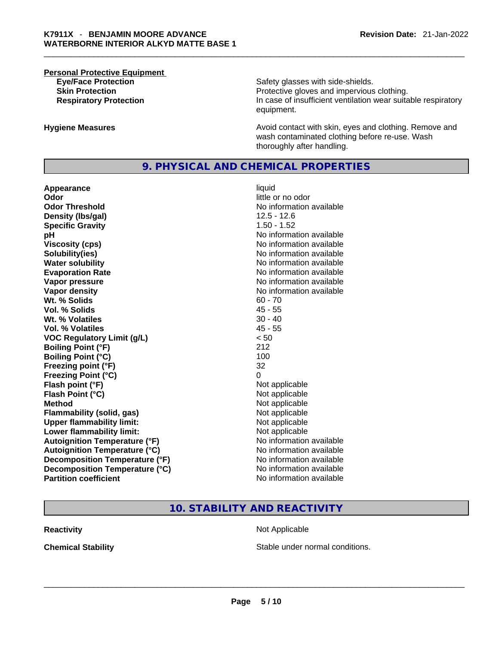# **Personal Protective Equipment**

**Eye/Face Protection Safety glasses with side-shields. Skin Protection Protection Protective gloves and impervious clothing. Respiratory Protection In case of insufficient ventilation wear suitable respiratory** equipment.

**Hygiene Measures Avoid contact with skin, eyes and clothing. Remove and Avoid contact with skin, eyes and clothing. Remove and Avoid contact with skin, eyes and clothing. Remove and** wash contaminated clothing before re-use. Wash thoroughly after handling.

# **9. PHYSICAL AND CHEMICAL PROPERTIES**

**Appearance** liquid **Odor** little or no odor **Odor Threshold** No information available **Density (lbs/gal)** 12.5 - 12.6 **Specific Gravity** 1.50 - 1.52 **pH bH** *pH* **Viscosity (cps) Viscosity (cps) No information available Solubility(ies)** No information available in the solution of the solution of the solution available in the solution of the solution of the solution of the solution of the solution of the solution of the solution of the so **Water solubility No information available No information available Evaporation Rate No information available No information available Vapor pressure**  No information available **Vapor pressure No information available Vapor density**<br> **We Solids**<br>
We Solids **We Solid Solid Solid Solid Solid Solid Solid Solid Solid Solid Solid Solid Solid Solid Solid Solid Solid Solid Solid Solid Solid Solid Solid Solid Solid Solid Solid Solid Solid Soli Wt. % Solids** 60 - 70 **Vol. % Solids Wt. % Volatiles** 30 - 40 **Vol. % Volatiles** 45 - 55 **VOC Regulatory Limit (g/L)** < 50 **Boiling Point (°F)** 212 **Boiling Point (°C)** 100 **Freezing point (°F)** 32 **Freezing Point (°C)** 0 **Flash point (°F)**<br> **Flash Point (°C)**<br> **Flash Point (°C)**<br> **C Flash Point (°C) Method** Not applicable **Flammability (solid, gas)** Not applicable **Upper flammability limit:**<br> **Lower flammability limit:** Not applicable Not applicable **Lower flammability limit: Autoignition Temperature (°F)** No information available **Autoignition Temperature (°C)** No information available **Decomposition Temperature (°F)** No information available **Decomposition Temperature (°C)** No information available **Partition coefficient** No information available

# **10. STABILITY AND REACTIVITY**

**Reactivity Not Applicable Not Applicable** 

**Chemical Stability** Stable under normal conditions. \_\_\_\_\_\_\_\_\_\_\_\_\_\_\_\_\_\_\_\_\_\_\_\_\_\_\_\_\_\_\_\_\_\_\_\_\_\_\_\_\_\_\_\_\_\_\_\_\_\_\_\_\_\_\_\_\_\_\_\_\_\_\_\_\_\_\_\_\_\_\_\_\_\_\_\_\_\_\_\_\_\_\_\_\_\_\_\_\_\_\_\_\_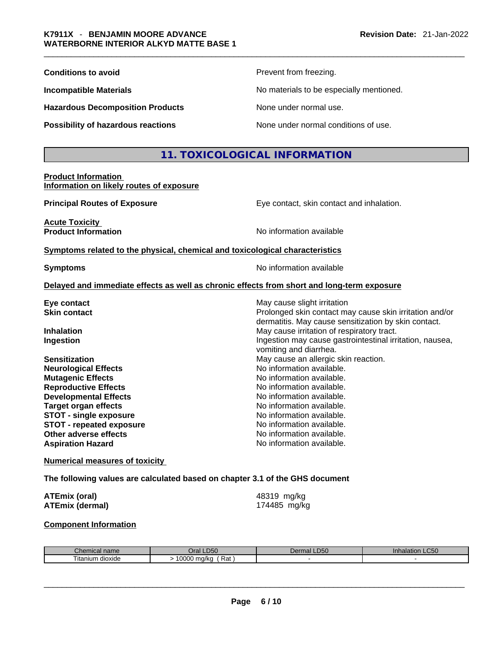| <b>Conditions to avoid</b>              | Prevent from freezing.                   |
|-----------------------------------------|------------------------------------------|
| <b>Incompatible Materials</b>           | No materials to be especially mentioned. |
| <b>Hazardous Decomposition Products</b> | None under normal use.                   |
| Possibility of hazardous reactions      | None under normal conditions of use.     |

# **11. TOXICOLOGICAL INFORMATION**

#### **Product Information Information on likely routes of exposure**

**Acute Toxicity** 

**Principal Routes of Exposure Exposure** Eye contact, skin contact and inhalation.

dermatitis. May cause sensitization by skin contact.

Ingestion may cause gastrointestinal irritation, nausea,

**Product Information Internation International Contract Contract Contract Contract Contract Contract Contract Contract Contract Contract Contract Contract Contract Contract Contract Contract Contract Contract Contract** 

#### **Symptoms related to the physical,chemical and toxicological characteristics**

**Symptoms Symptoms No information available** 

vomiting and diarrhea.

#### **Delayed and immediate effects as well as chronic effects from short and long-term exposure**

**Eye contact**  Even contact **Exercise Structure in the May cause slight irritation Skin contact** Prolonged skin contact may cause skin irritation and/or

**Inhalation** May cause irritation of respiratory tract.

**Sensitization May cause an allergic skin reaction.** May cause an allergic skin reaction. **Neurological Effects** No information available. **Mutagenic Effects Mutagenic Effects No information available. Reproductive Effects No information available. Developmental Effects No information available. Target organ effects No information available.** No information available. **STOT** - single exposure **Notation Notation** No information available. **STOT** - **repeated exposure** No information available. **Other adverse effects No information available.** Aspiration Hazard **Aspiration Hazard No information available.** 

#### **Numerical measures of toxicity**

**The following values are calculated based on chapter 3.1 of the GHS document**

| <b>ATEmix (oral)</b>   | 48319 mg/kg  |
|------------------------|--------------|
| <b>ATEmix (dermal)</b> | 174485 mg/kg |

#### **Component Information**

| Chemical name     | <b>D50</b><br>Jral   | $D^{\prime}$<br>Dermal<br>-DSU | $\sim$ $\sim$ $\sim$<br>ınnaıat<br>on LU50 |
|-------------------|----------------------|--------------------------------|--------------------------------------------|
| l itanıum dioxide | Rat<br>0000<br>ma/ka |                                |                                            |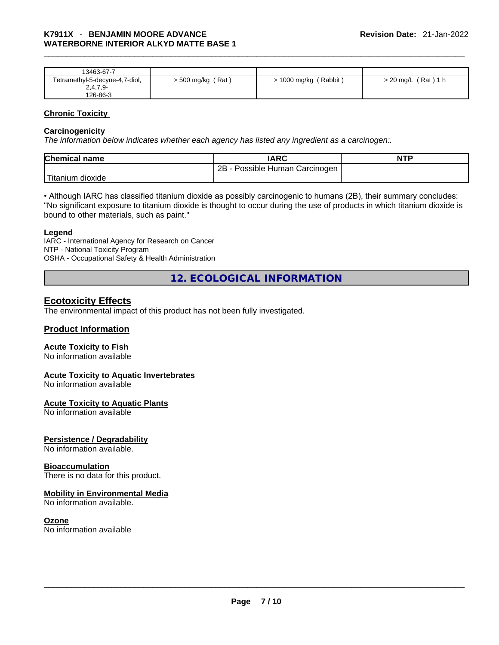| 13463-67-7                     |                     |                         |                       |
|--------------------------------|---------------------|-------------------------|-----------------------|
| Tetramethyl-5-decyne-4,7-diol, | $>$ 500 mg/kg (Rat) | $> 1000$ mg/kg (Rabbit) | $>$ 20 mg/L (Rat) 1 h |
| $2,4,7,9-$                     |                     |                         |                       |
| 126-86-3                       |                     |                         |                       |

#### **Chronic Toxicity**

#### **Carcinogenicity**

*The information below indicates whether each agency has listed any ingredient as a carcinogen:.* 

| <b>Chemical name</b> | IARC                              | <b>NTP</b> |
|----------------------|-----------------------------------|------------|
|                      | Possible Human Carcinogen  <br>2B |            |
| 'Titanium dioxide    |                                   |            |

• Although IARC has classified titanium dioxide as possibly carcinogenic to humans (2B), their summary concludes: "No significant exposure to titanium dioxide is thought to occur during the use of products in which titanium dioxide is bound to other materials, such as paint."

#### **Legend**

IARC - International Agency for Research on Cancer NTP - National Toxicity Program OSHA - Occupational Safety & Health Administration

**12. ECOLOGICAL INFORMATION** 

# **Ecotoxicity Effects**

The environmental impact of this product has not been fully investigated.

## **Product Information**

## **Acute Toxicity to Fish**

No information available

## **Acute Toxicity to Aquatic Invertebrates**

No information available

## **Acute Toxicity to Aquatic Plants**

No information available

## **Persistence / Degradability**

No information available.

#### **Bioaccumulation**

There is no data for this product.

## **Mobility in Environmental Media**

No information available.

**Ozone**<br>No information available No information available<br>  $\blacksquare$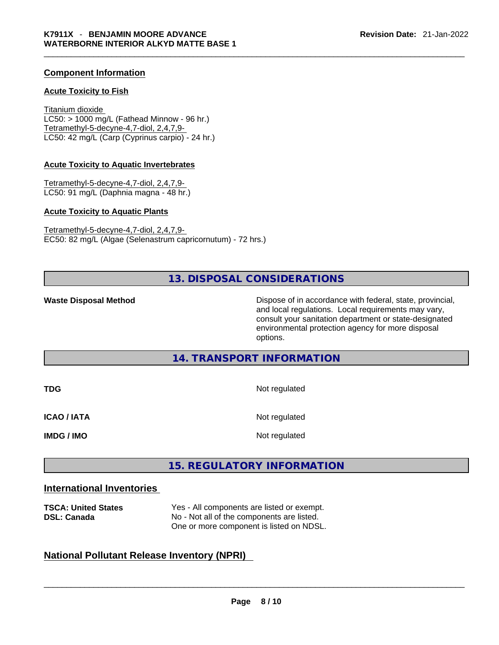## **Component Information**

#### **Acute Toxicity to Fish**

Titanium dioxide  $LC50:$  > 1000 mg/L (Fathead Minnow - 96 hr.) Tetramethyl-5-decyne-4,7-diol, 2,4,7,9- LC50: 42 mg/L (Carp (Cyprinus carpio) - 24 hr.)

#### **Acute Toxicity to Aquatic Invertebrates**

Tetramethyl-5-decyne-4,7-diol, 2,4,7,9- LC50: 91 mg/L (Daphnia magna - 48 hr.)

#### **Acute Toxicity to Aquatic Plants**

Tetramethyl-5-decyne-4,7-diol, 2,4,7,9- EC50: 82 mg/L (Algae (Selenastrum capricornutum) - 72 hrs.)

# **13. DISPOSAL CONSIDERATIONS**

**Waste Disposal Method** Dispose of in accordance with federal, state, provincial, and local regulations. Local requirements may vary, consult your sanitation department or state-designated environmental protection agency for more disposal options.

# **14. TRANSPORT INFORMATION**

| <b>TDG</b>         | Not regulated |
|--------------------|---------------|
| <b>ICAO / IATA</b> | Not regulated |
| <b>IMDG / IMO</b>  | Not regulated |

# **15. REGULATORY INFORMATION**

# **International Inventories**

| <b>TSCA: United States</b><br><b>DSL: Canada</b>   | Yes - All components are listed or exempt.<br>No - Not all of the components are listed.<br>One or more component is listed on NDSL. |  |  |  |
|----------------------------------------------------|--------------------------------------------------------------------------------------------------------------------------------------|--|--|--|
| <b>National Pollutant Release Inventory (NPRI)</b> |                                                                                                                                      |  |  |  |

# **National Pollutant Release Inventory (NPRI)**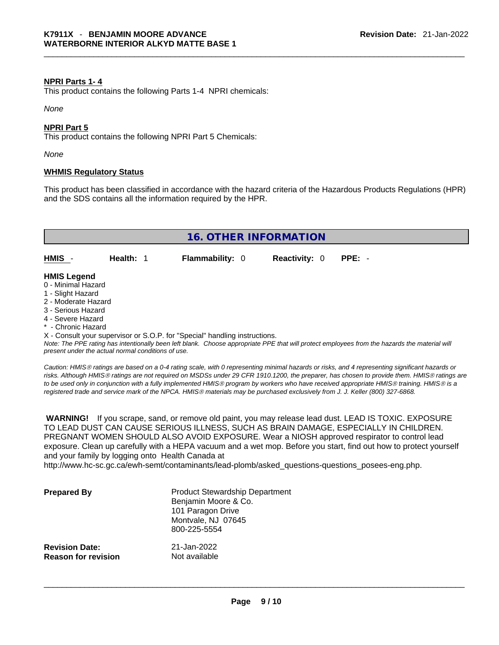#### **NPRI Parts 1- 4**

This product contains the following Parts 1-4 NPRI chemicals:

*None*

#### **NPRI Part 5**

This product contains the following NPRI Part 5 Chemicals:

*None*

#### **WHMIS Regulatory Status**

This product has been classified in accordance with the hazard criteria of the Hazardous Products Regulations (HPR) and the SDS contains all the information required by the HPR.



- Chronic Hazard

X - Consult your supervisor or S.O.P. for "Special" handling instructions.

Note: The PPE rating has intentionally been left blank. Choose appropriate PPE that will protect employees from the hazards the material will *present under the actual normal conditions of use.* 

*Caution: HMISÒ ratings are based on a 0-4 rating scale, with 0 representing minimal hazards or risks, and 4 representing significant hazards or risks. Although HMISÒ ratings are not required on MSDSs under 29 CFR 1910.1200, the preparer, has chosen to provide them. HMISÒ ratings are to be used only in conjunction with a fully implemented HMISÒ program by workers who have received appropriate HMISÒ training. HMISÒ is a registered trade and service mark of the NPCA. HMISÒ materials may be purchased exclusively from J. J. Keller (800) 327-6868.* 

 **WARNING!** If you scrape, sand, or remove old paint, you may release lead dust. LEAD IS TOXIC. EXPOSURE TO LEAD DUST CAN CAUSE SERIOUS ILLNESS, SUCH AS BRAIN DAMAGE, ESPECIALLY IN CHILDREN. PREGNANT WOMEN SHOULD ALSO AVOID EXPOSURE.Wear a NIOSH approved respirator to control lead exposure. Clean up carefully with a HEPA vacuum and a wet mop. Before you start, find out how to protect yourself and your family by logging onto Health Canada at

http://www.hc-sc.gc.ca/ewh-semt/contaminants/lead-plomb/asked\_questions-questions\_posees-eng.php.

| <b>Prepared By</b>                                  | <b>Product Stewardship Department</b><br>Benjamin Moore & Co.<br>101 Paragon Drive<br>Montvale, NJ 07645<br>800-225-5554 |  |
|-----------------------------------------------------|--------------------------------------------------------------------------------------------------------------------------|--|
| <b>Revision Date:</b><br><b>Reason for revision</b> | 21-Jan-2022<br>Not available                                                                                             |  |